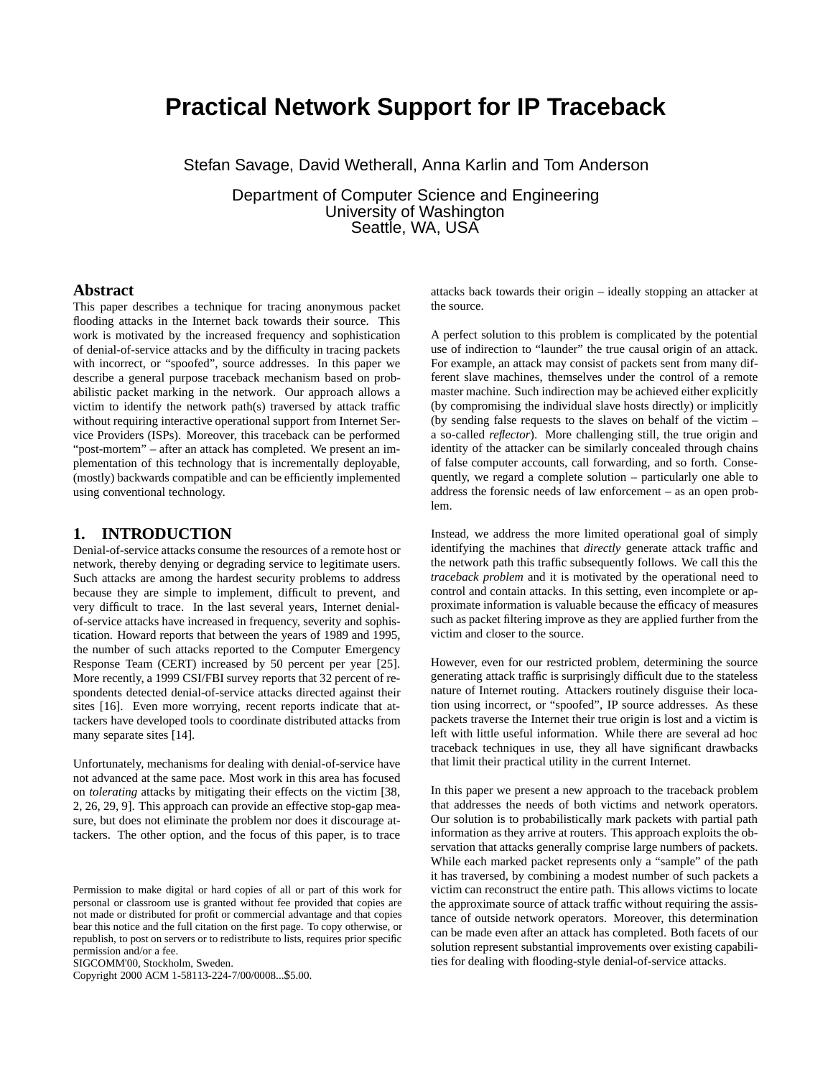# **Practical Network Support for IP Traceback**

Stefan Savage, David Wetherall, Anna Karlin and Tom Anderson

Department of Computer Science and Engineering University of Washington Seattle, WA, USA

#### **Abstract**

This paper describes a technique for tracing anonymous packet flooding attacks in the Internet back towards their source. This work is motivated by the increased frequency and sophistication of denial-of-service attacks and by the difficulty in tracing packets with incorrect, or "spoofed", source addresses. In this paper we describe a general purpose traceback mechanism based on probabilistic packet marking in the network. Our approach allows a victim to identify the network path(s) traversed by attack traffic without requiring interactive operational support from Internet Service Providers (ISPs). Moreover, this traceback can be performed "post-mortem" – after an attack has completed. We present an implementation of this technology that is incrementally deployable, (mostly) backwards compatible and can be efficiently implemented using conventional technology.

### **1. INTRODUCTION**

Denial-of-service attacks consume the resources of a remote host or network, thereby denying or degrading service to legitimate users. Such attacks are among the hardest security problems to address because they are simple to implement, difficult to prevent, and very difficult to trace. In the last several years, Internet denialof-service attacks have increased in frequency, severity and sophistication. Howard reports that between the years of 1989 and 1995, the number of such attacks reported to the Computer Emergency Response Team (CERT) increased by 50 percent per year [25]. More recently, a 1999 CSI/FBI survey reports that 32 percent of respondents detected denial-of-service attacks directed against their sites [16]. Even more worrying, recent reports indicate that attackers have developed tools to coordinate distributed attacks from many separate sites [14].

Unfortunately, mechanisms for dealing with denial-of-service have not advanced at the same pace. Most work in this area has focused on *tolerating* attacks by mitigating their effects on the victim [38, 2, 26, 29, 9]. This approach can provide an effective stop-gap measure, but does not eliminate the problem nor does it discourage attackers. The other option, and the focus of this paper, is to trace

SIGCOMM'00, Stockholm, Sweden.

Copyright 2000 ACM 1-58113-224-7/00/0008...\$5.00.

attacks back towards their origin – ideally stopping an attacker at the source.

A perfect solution to this problem is complicated by the potential use of indirection to "launder" the true causal origin of an attack. For example, an attack may consist of packets sent from many different slave machines, themselves under the control of a remote master machine. Such indirection may be achieved either explicitly (by compromising the individual slave hosts directly) or implicitly (by sending false requests to the slaves on behalf of the victim – a so-called *reflector*). More challenging still, the true origin and identity of the attacker can be similarly concealed through chains of false computer accounts, call forwarding, and so forth. Consequently, we regard a complete solution – particularly one able to address the forensic needs of law enforcement – as an open problem.

Instead, we address the more limited operational goal of simply identifying the machines that *directly* generate attack traffic and the network path this traffic subsequently follows. We call this the *traceback problem* and it is motivated by the operational need to control and contain attacks. In this setting, even incomplete or approximate information is valuable because the efficacy of measures such as packet filtering improve as they are applied further from the victim and closer to the source.

However, even for our restricted problem, determining the source generating attack traffic is surprisingly difficult due to the stateless nature of Internet routing. Attackers routinely disguise their location using incorrect, or "spoofed", IP source addresses. As these packets traverse the Internet their true origin is lost and a victim is left with little useful information. While there are several ad hoc traceback techniques in use, they all have significant drawbacks that limit their practical utility in the current Internet.

In this paper we present a new approach to the traceback problem that addresses the needs of both victims and network operators. Our solution is to probabilistically mark packets with partial path information as they arrive at routers. This approach exploits the observation that attacks generally comprise large numbers of packets. While each marked packet represents only a "sample" of the path it has traversed, by combining a modest number of such packets a victim can reconstruct the entire path. This allows victims to locate the approximate source of attack traffic without requiring the assistance of outside network operators. Moreover, this determination can be made even after an attack has completed. Both facets of our solution represent substantial improvements over existing capabilities for dealing with flooding-style denial-of-service attacks.

Permission to make digital or hard copies of all or part of this work for personal or classroom use is granted without fee provided that copies are not made or distributed for profit or commercial advantage and that copies bear this notice and the full citation on the first page. To copy otherwise, or republish, to post on servers or to redistribute to lists, requires prior specific permission and/or a fee.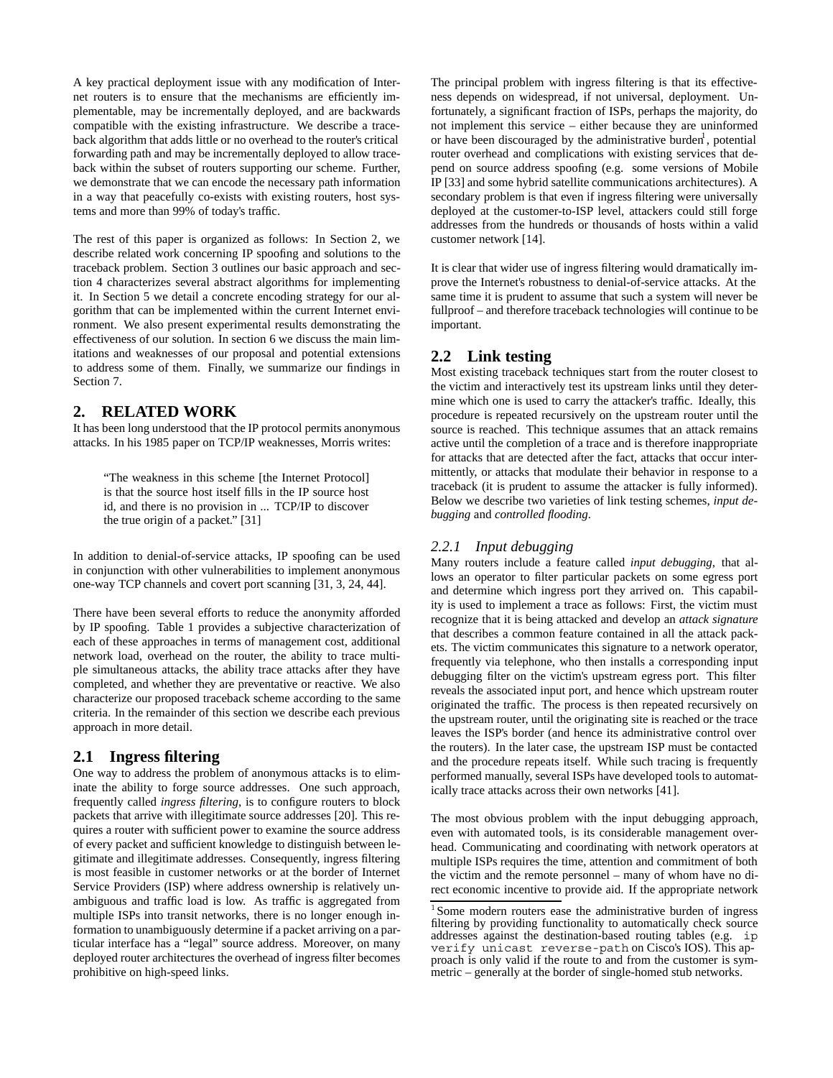A key practical deployment issue with any modification of Internet routers is to ensure that the mechanisms are efficiently implementable, may be incrementally deployed, and are backwards compatible with the existing infrastructure. We describe a traceback algorithm that adds little or no overhead to the router's critical forwarding path and may be incrementally deployed to allow traceback within the subset of routers supporting our scheme. Further, we demonstrate that we can encode the necessary path information in a way that peacefully co-exists with existing routers, host systems and more than 99% of today's traffic.

The rest of this paper is organized as follows: In Section 2, we describe related work concerning IP spoofing and solutions to the traceback problem. Section 3 outlines our basic approach and section 4 characterizes several abstract algorithms for implementing it. In Section 5 we detail a concrete encoding strategy for our algorithm that can be implemented within the current Internet environment. We also present experimental results demonstrating the effectiveness of our solution. In section 6 we discuss the main limitations and weaknesses of our proposal and potential extensions to address some of them. Finally, we summarize our findings in Section 7.

### **2. RELATED WORK**

It has been long understood that the IP protocol permits anonymous attacks. In his 1985 paper on TCP/IP weaknesses, Morris writes:

"The weakness in this scheme [the Internet Protocol] is that the source host itself fills in the IP source host id, and there is no provision in ... TCP/IP to discover the true origin of a packet." [31]

In addition to denial-of-service attacks, IP spoofing can be used in conjunction with other vulnerabilities to implement anonymous one-way TCP channels and covert port scanning [31, 3, 24, 44].

There have been several efforts to reduce the anonymity afforded by IP spoofing. Table 1 provides a subjective characterization of each of these approaches in terms of management cost, additional network load, overhead on the router, the ability to trace multiple simultaneous attacks, the ability trace attacks after they have completed, and whether they are preventative or reactive. We also characterize our proposed traceback scheme according to the same criteria. In the remainder of this section we describe each previous approach in more detail.

### **2.1 Ingress filtering**

One way to address the problem of anonymous attacks is to eliminate the ability to forge source addresses. One such approach, frequently called *ingress filtering*, is to configure routers to block packets that arrive with illegitimate source addresses [20]. This requires a router with sufficient power to examine the source address of every packet and sufficient knowledge to distinguish between legitimate and illegitimate addresses. Consequently, ingress filtering is most feasible in customer networks or at the border of Internet Service Providers (ISP) where address ownership is relatively unambiguous and traffic load is low. As traffic is aggregated from multiple ISPs into transit networks, there is no longer enough information to unambiguously determine if a packet arriving on a particular interface has a "legal" source address. Moreover, on many deployed router architectures the overhead of ingress filter becomes prohibitive on high-speed links.

The principal problem with ingress filtering is that its effectiveness depends on widespread, if not universal, deployment. Unfortunately, a significant fraction of ISPs, perhaps the majority, do not implement this service – either because they are uninformed or have been discouraged by the administrative burden<sup>1</sup>, potential router overhead and complications with existing services that depend on source address spoofing (e.g. some versions of Mobile IP [33] and some hybrid satellite communications architectures). A secondary problem is that even if ingress filtering were universally deployed at the customer-to-ISP level, attackers could still forge addresses from the hundreds or thousands of hosts within a valid customer network [14].

It is clear that wider use of ingress filtering would dramatically improve the Internet's robustness to denial-of-service attacks. At the same time it is prudent to assume that such a system will never be fullproof – and therefore traceback technologies will continue to be important.

### **2.2 Link testing**

Most existing traceback techniques start from the router closest to the victim and interactively test its upstream links until they determine which one is used to carry the attacker's traffic. Ideally, this procedure is repeated recursively on the upstream router until the source is reached. This technique assumes that an attack remains active until the completion of a trace and is therefore inappropriate for attacks that are detected after the fact, attacks that occur intermittently, or attacks that modulate their behavior in response to a traceback (it is prudent to assume the attacker is fully informed). Below we describe two varieties of link testing schemes, *input debugging* and *controlled flooding*.

#### *2.2.1 Input debugging*

Many routers include a feature called *input debugging*, that allows an operator to filter particular packets on some egress port and determine which ingress port they arrived on. This capability is used to implement a trace as follows: First, the victim must recognize that it is being attacked and develop an *attack signature* that describes a common feature contained in all the attack packets. The victim communicates this signature to a network operator, frequently via telephone, who then installs a corresponding input debugging filter on the victim's upstream egress port. This filter reveals the associated input port, and hence which upstream router originated the traffic. The process is then repeated recursively on the upstream router, until the originating site is reached or the trace leaves the ISP's border (and hence its administrative control over the routers). In the later case, the upstream ISP must be contacted and the procedure repeats itself. While such tracing is frequently performed manually, several ISPs have developed tools to automatically trace attacks across their own networks [41].

The most obvious problem with the input debugging approach, even with automated tools, is its considerable management overhead. Communicating and coordinating with network operators at multiple ISPs requires the time, attention and commitment of both the victim and the remote personnel – many of whom have no direct economic incentive to provide aid. If the appropriate network

<sup>1</sup> Some modern routers ease the administrative burden of ingress filtering by providing functionality to automatically check source addresses against the destination-based routing tables (e.g. ip verify unicast reverse-path on Cisco's IOS). This approach is only valid if the route to and from the customer is symmetric – generally at the border of single-homed stub networks.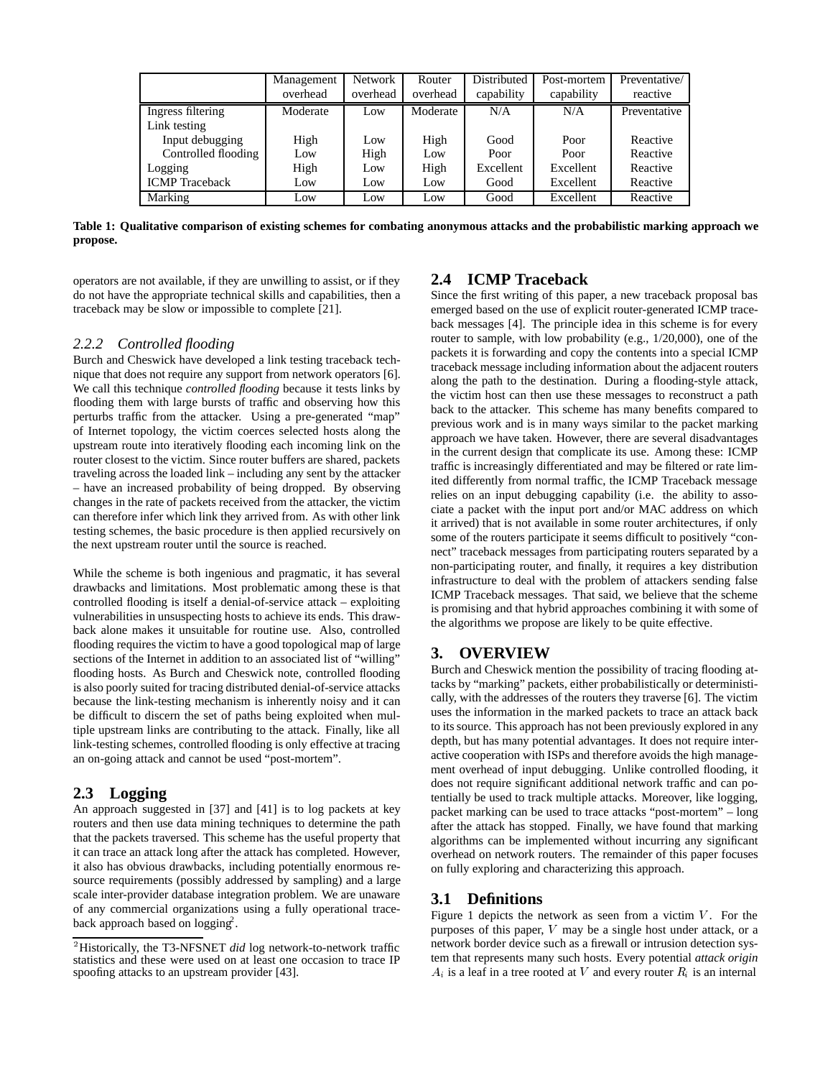|                       | Management | <b>Network</b> | Router   | Distributed | Post-mortem | Preventative/ |
|-----------------------|------------|----------------|----------|-------------|-------------|---------------|
|                       | overhead   | overhead       | overhead | capability  | capability  | reactive      |
| Ingress filtering     | Moderate   | Low            | Moderate | N/A         | N/A         | Preventative  |
| Link testing          |            |                |          |             |             |               |
| Input debugging       | High       | Low            | High     | Good        | Poor        | Reactive      |
| Controlled flooding   | Low        | High           | Low      | Poor        | Poor        | Reactive      |
| Logging               | High       | Low            | High     | Excellent   | Excellent   | Reactive      |
| <b>ICMP</b> Traceback | Low        | Low.           | Low      | Good        | Excellent   | Reactive      |
| Marking               | Low        | Low            | Low      | Good        | Excellent   | Reactive      |

**Table 1: Qualitative comparison of existing schemes for combating anonymous attacks and the probabilistic marking approach we propose.**

operators are not available, if they are unwilling to assist, or if they do not have the appropriate technical skills and capabilities, then a traceback may be slow or impossible to complete [21].

#### *2.2.2 Controlled flooding*

Burch and Cheswick have developed a link testing traceback technique that does not require any support from network operators [6]. We call this technique *controlled flooding* because it tests links by flooding them with large bursts of traffic and observing how this perturbs traffic from the attacker. Using a pre-generated "map" of Internet topology, the victim coerces selected hosts along the upstream route into iteratively flooding each incoming link on the router closest to the victim. Since router buffers are shared, packets traveling across the loaded link – including any sent by the attacker – have an increased probability of being dropped. By observing changes in the rate of packets received from the attacker, the victim can therefore infer which link they arrived from. As with other link testing schemes, the basic procedure is then applied recursively on the next upstream router until the source is reached.

While the scheme is both ingenious and pragmatic, it has several drawbacks and limitations. Most problematic among these is that controlled flooding is itself a denial-of-service attack – exploiting vulnerabilities in unsuspecting hosts to achieve its ends. This drawback alone makes it unsuitable for routine use. Also, controlled flooding requires the victim to have a good topological map of large sections of the Internet in addition to an associated list of "willing" flooding hosts. As Burch and Cheswick note, controlled flooding is also poorly suited for tracing distributed denial-of-service attacks because the link-testing mechanism is inherently noisy and it can be difficult to discern the set of paths being exploited when multiple upstream links are contributing to the attack. Finally, like all link-testing schemes, controlled flooding is only effective at tracing an on-going attack and cannot be used "post-mortem".

#### **2.3 Logging**

An approach suggested in [37] and [41] is to log packets at key routers and then use data mining techniques to determine the path that the packets traversed. This scheme has the useful property that it can trace an attack long after the attack has completed. However, it also has obvious drawbacks, including potentially enormous resource requirements (possibly addressed by sampling) and a large scale inter-provider database integration problem. We are unaware of any commercial organizations using a fully operational traceback approach based on logging<sup>2</sup>.

# **2.4 ICMP Traceback**

Since the first writing of this paper, a new traceback proposal bas emerged based on the use of explicit router-generated ICMP traceback messages [4]. The principle idea in this scheme is for every router to sample, with low probability (e.g.,  $1/20,000$ ), one of the packets it is forwarding and copy the contents into a special ICMP traceback message including information about the adjacent routers along the path to the destination. During a flooding-style attack, the victim host can then use these messages to reconstruct a path back to the attacker. This scheme has many benefits compared to previous work and is in many ways similar to the packet marking approach we have taken. However, there are several disadvantages in the current design that complicate its use. Among these: ICMP traffic is increasingly differentiated and may be filtered or rate limited differently from normal traffic, the ICMP Traceback message relies on an input debugging capability (i.e. the ability to associate a packet with the input port and/or MAC address on which it arrived) that is not available in some router architectures, if only some of the routers participate it seems difficult to positively "connect" traceback messages from participating routers separated by a non-participating router, and finally, it requires a key distribution infrastructure to deal with the problem of attackers sending false ICMP Traceback messages. That said, we believe that the scheme is promising and that hybrid approaches combining it with some of the algorithms we propose are likely to be quite effective.

### **3. OVERVIEW**

Burch and Cheswick mention the possibility of tracing flooding attacks by "marking" packets, either probabilistically or deterministically, with the addresses of the routers they traverse [6]. The victim uses the information in the marked packets to trace an attack back to its source. This approach has not been previously explored in any depth, but has many potential advantages. It does not require interactive cooperation with ISPs and therefore avoids the high management overhead of input debugging. Unlike controlled flooding, it does not require significant additional network traffic and can potentially be used to track multiple attacks. Moreover, like logging, packet marking can be used to trace attacks "post-mortem" – long after the attack has stopped. Finally, we have found that marking algorithms can be implemented without incurring any significant overhead on network routers. The remainder of this paper focuses on fully exploring and characterizing this approach.

### **3.1 Definitions**

Figure 1 depicts the network as seen from a victim  $V$ . For the purposes of this paper, V may be a single host under attack, or a network border device such as a firewall or intrusion detection system that represents many such hosts. Every potential *attack origin*  $A_i$  is a leaf in a tree rooted at V and every router  $R_i$  is an internal

<sup>2</sup> Historically, the T3-NFSNET *did* log network-to-network traffic statistics and these were used on at least one occasion to trace IP spoofing attacks to an upstream provider [43].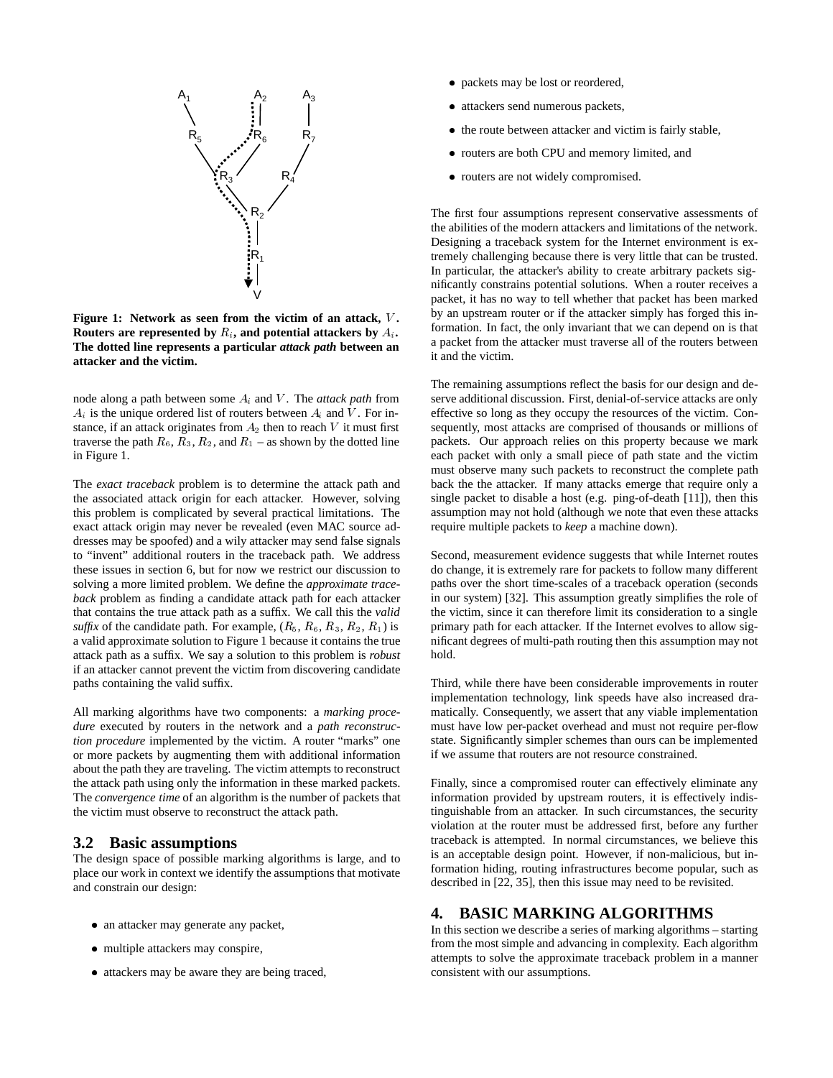

**Figure 1: Network as seen from the victim of an attack,** V **. Routers are represented by**  $R_i$ , and potential attackers by  $A_i$ . **The dotted line represents a particular** *attack path* **between an attacker and the victim.**

node along a path between some Ai and <sup>V</sup> . The *attack path* from  $A_i$  is the unique ordered list of routers between  $A_i$  and V. For instance, if an attack originates from  $A_2$  then to reach V it must first traverse the path  $R_6$ ,  $R_3$ ,  $R_2$ , and  $R_1$  – as shown by the dotted line in Figure 1.

The *exact traceback* problem is to determine the attack path and the associated attack origin for each attacker. However, solving this problem is complicated by several practical limitations. The exact attack origin may never be revealed (even MAC source addresses may be spoofed) and a wily attacker may send false signals to "invent" additional routers in the traceback path. We address these issues in section 6, but for now we restrict our discussion to solving a more limited problem. We define the *approximate traceback* problem as finding a candidate attack path for each attacker that contains the true attack path as a suffix. We call this the *valid suffix* of the candidate path. For example,  $(R_5, R_6, R_3, R_2, R_1)$  is a valid approximate solution to Figure 1 because it contains the true attack path as a suffix. We say a solution to this problem is *robust* if an attacker cannot prevent the victim from discovering candidate paths containing the valid suffix.

All marking algorithms have two components: a *marking procedure* executed by routers in the network and a *path reconstruction procedure* implemented by the victim. A router "marks" one or more packets by augmenting them with additional information about the path they are traveling. The victim attempts to reconstruct the attack path using only the information in these marked packets. The *convergence time* of an algorithm is the number of packets that the victim must observe to reconstruct the attack path.

#### **3.2 Basic assumptions**

The design space of possible marking algorithms is large, and to place our work in context we identify the assumptions that motivate and constrain our design:

- an attacker may generate any packet,
- multiple attackers may conspire,
- attackers may be aware they are being traced,
- packets may be lost or reordered,
- attackers send numerous packets,
- the route between attacker and victim is fairly stable,
- routers are both CPU and memory limited, and
- routers are not widely compromised.

The first four assumptions represent conservative assessments of the abilities of the modern attackers and limitations of the network. Designing a traceback system for the Internet environment is extremely challenging because there is very little that can be trusted. In particular, the attacker's ability to create arbitrary packets significantly constrains potential solutions. When a router receives a packet, it has no way to tell whether that packet has been marked by an upstream router or if the attacker simply has forged this information. In fact, the only invariant that we can depend on is that a packet from the attacker must traverse all of the routers between it and the victim.

The remaining assumptions reflect the basis for our design and deserve additional discussion. First, denial-of-service attacks are only effective so long as they occupy the resources of the victim. Consequently, most attacks are comprised of thousands or millions of packets. Our approach relies on this property because we mark each packet with only a small piece of path state and the victim must observe many such packets to reconstruct the complete path back the the attacker. If many attacks emerge that require only a single packet to disable a host (e.g. ping-of-death [11]), then this assumption may not hold (although we note that even these attacks require multiple packets to *keep* a machine down).

Second, measurement evidence suggests that while Internet routes do change, it is extremely rare for packets to follow many different paths over the short time-scales of a traceback operation (seconds in our system) [32]. This assumption greatly simplifies the role of the victim, since it can therefore limit its consideration to a single primary path for each attacker. If the Internet evolves to allow significant degrees of multi-path routing then this assumption may not hold.

Third, while there have been considerable improvements in router implementation technology, link speeds have also increased dramatically. Consequently, we assert that any viable implementation must have low per-packet overhead and must not require per-flow state. Significantly simpler schemes than ours can be implemented if we assume that routers are not resource constrained.

Finally, since a compromised router can effectively eliminate any information provided by upstream routers, it is effectively indistinguishable from an attacker. In such circumstances, the security violation at the router must be addressed first, before any further traceback is attempted. In normal circumstances, we believe this is an acceptable design point. However, if non-malicious, but information hiding, routing infrastructures become popular, such as described in [22, 35], then this issue may need to be revisited.

# **4. BASIC MARKING ALGORITHMS**

In this section we describe a series of marking algorithms – starting from the most simple and advancing in complexity. Each algorithm attempts to solve the approximate traceback problem in a manner consistent with our assumptions.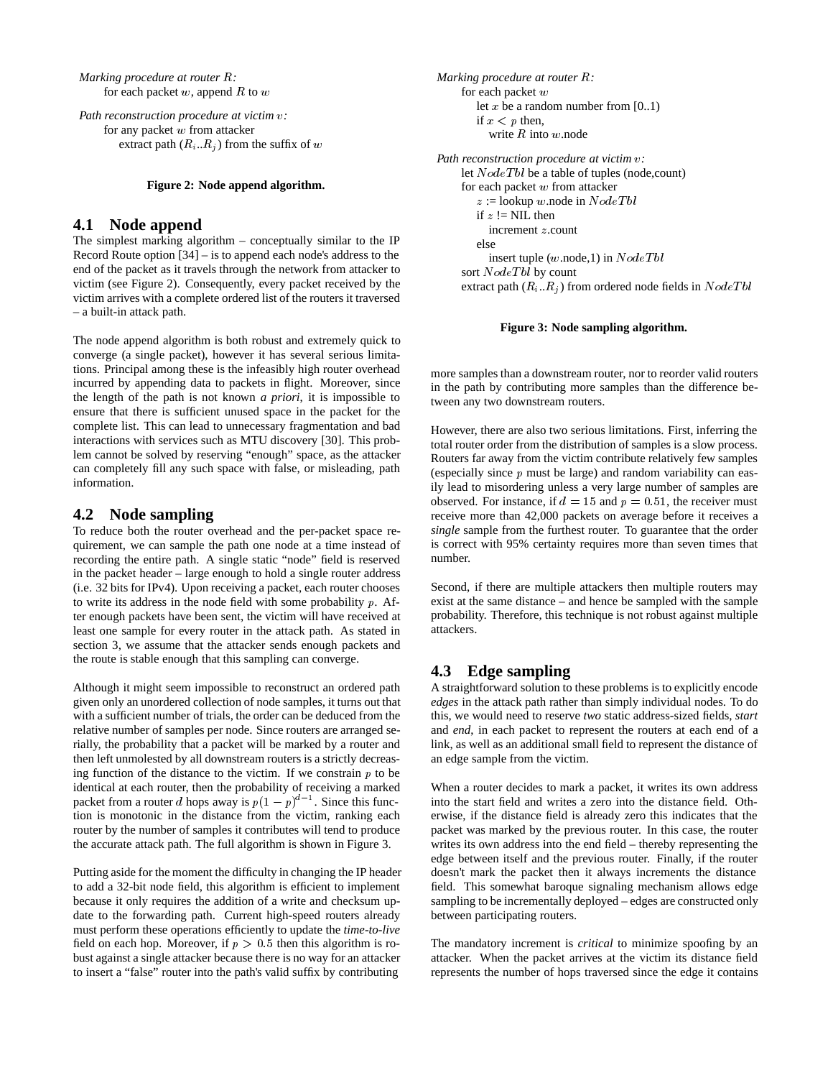*Marking procedure at router* R*:* for each packet  $w$ , append  $R$  to  $w$ 

*Path reconstruction procedure at victim* v*:* for any packet  $w$  from attacker extract path  $(R_i..R_j)$  from the suffix of w

**Figure 2: Node append algorithm.**

### **4.1 Node append**

The simplest marking algorithm – conceptually similar to the IP Record Route option [34] – is to append each node's address to the end of the packet as it travels through the network from attacker to victim (see Figure 2). Consequently, every packet received by the victim arrives with a complete ordered list of the routers it traversed – a built-in attack path.

The node append algorithm is both robust and extremely quick to converge (a single packet), however it has several serious limitations. Principal among these is the infeasibly high router overhead incurred by appending data to packets in flight. Moreover, since the length of the path is not known *a priori*, it is impossible to ensure that there is sufficient unused space in the packet for the complete list. This can lead to unnecessary fragmentation and bad interactions with services such as MTU discovery [30]. This problem cannot be solved by reserving "enough" space, as the attacker can completely fill any such space with false, or misleading, path information.

### **4.2 Node sampling**

To reduce both the router overhead and the per-packet space requirement, we can sample the path one node at a time instead of recording the entire path. A single static "node" field is reserved in the packet header – large enough to hold a single router address (i.e. 32 bits for IPv4). Upon receiving a packet, each router chooses to write its address in the node field with some probability  $p$ . After enough packets have been sent, the victim will have received at least one sample for every router in the attack path. As stated in section 3, we assume that the attacker sends enough packets and the route is stable enough that this sampling can converge.

Although it might seem impossible to reconstruct an ordered path given only an unordered collection of node samples, it turns out that with a sufficient number of trials, the order can be deduced from the relative number of samples per node. Since routers are arranged serially, the probability that a packet will be marked by a router and then left unmolested by all downstream routers is a strictly decreasing function of the distance to the victim. If we constrain  $p$  to be identical at each router, then the probability of receiving a marked packet from a router d hops away is  $p(1-p)^{d-1}$ . Since this function is monotonic in the distance from the victim, ranking each router by the number of samples it contributes will tend to produce the accurate attack path. The full algorithm is shown in Figure 3.

Putting aside for the moment the difficulty in changing the IP header to add a 32-bit node field, this algorithm is efficient to implement because it only requires the addition of a write and checksum update to the forwarding path. Current high-speed routers already must perform these operations efficiently to update the *time-to-live* field on each hop. Moreover, if  $p > 0.5$  then this algorithm is robust against a single attacker because there is no way for an attacker to insert a "false" router into the path's valid suffix by contributing

*Marking procedure at router* <sup>R</sup>*:* for each packet w let  $x$  be a random number from  $[0..1)$ if  $x < p$  then, write  $R$  into  $w$  node *Path reconstruction procedure at victim* v*:* let  $NodeTbl$  be a table of tuples (node,count) for each packet w from attacker  $z :=$ lookup w.node in  $NodeTbl$ if  $z$  != NIL then increment <sup>z</sup>.count else insert tuple (w.node,1) in  $NodeTbl$ sort NodeT bl by count extract path  $(R_i..R_j)$  from ordered node fields in  $NodeTbl$ 

#### **Figure 3: Node sampling algorithm.**

more samples than a downstream router, nor to reorder valid routers in the path by contributing more samples than the difference between any two downstream routers.

However, there are also two serious limitations. First, inferring the total router order from the distribution of samples is a slow process. Routers far away from the victim contribute relatively few samples (especially since  $p$  must be large) and random variability can easily lead to misordering unless a very large number of samples are observed. For instance, if  $d = 15$  and  $p = 0.51$ , the receiver must receive more than 42,000 packets on average before it receives a *single* sample from the furthest router. To guarantee that the order is correct with 95% certainty requires more than seven times that number.

Second, if there are multiple attackers then multiple routers may exist at the same distance – and hence be sampled with the sample probability. Therefore, this technique is not robust against multiple attackers.

### **4.3 Edge sampling**

A straightforward solution to these problems is to explicitly encode *edges* in the attack path rather than simply individual nodes. To do this, we would need to reserve *two* static address-sized fields, *start* and *end*, in each packet to represent the routers at each end of a link, as well as an additional small field to represent the distance of an edge sample from the victim.

When a router decides to mark a packet, it writes its own address into the start field and writes a zero into the distance field. Otherwise, if the distance field is already zero this indicates that the packet was marked by the previous router. In this case, the router writes its own address into the end field – thereby representing the edge between itself and the previous router. Finally, if the router doesn't mark the packet then it always increments the distance field. This somewhat baroque signaling mechanism allows edge sampling to be incrementally deployed – edges are constructed only between participating routers.

The mandatory increment is *critical* to minimize spoofing by an attacker. When the packet arrives at the victim its distance field represents the number of hops traversed since the edge it contains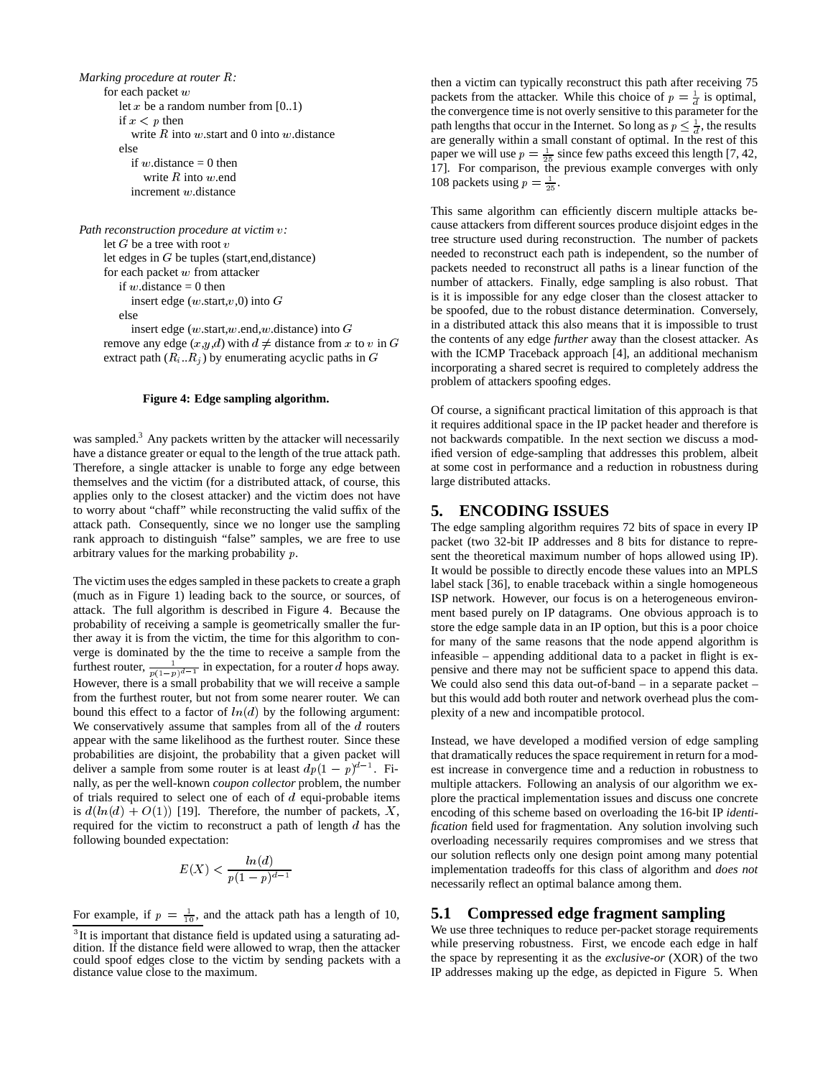```
Marking procedure at router R:
    for each packet w
        let x be a random number from [0..1)if x < p then
          write R into w start and 0 into w distance
       else
          if w.distance = 0 then
             write R into w end
          increment w.distance
```

```
Path reconstruction procedure at victim v:
     let G be a tree with root vlet edges in G be tuples (start,end,distance)
     for each packet w from attacker
        if w.distance = 0 then
           insert edge (w.\text{start},v,0) into Gelse
```
insert edge  $(w.\text{start},w.\text{end},w.\text{distance})$  into  $G$ remove any edge  $(x,y,d)$  with  $d \neq$  distance from x to v in G extract path  $(R_i..R_j)$  by enumerating acyclic paths in G

#### **Figure 4: Edge sampling algorithm.**

was sampled.<sup>3</sup> Any packets written by the attacker will necessarily have a distance greater or equal to the length of the true attack path. Therefore, a single attacker is unable to forge any edge between themselves and the victim (for a distributed attack, of course, this applies only to the closest attacker) and the victim does not have to worry about "chaff" while reconstructing the valid suffix of the attack path. Consequently, since we no longer use the sampling rank approach to distinguish "false" samples, we are free to use arbitrary values for the marking probability p.

The victim uses the edges sampled in these packets to create a graph (much as in Figure 1) leading back to the source, or sources, of attack. The full algorithm is described in Figure 4. Because the probability of receiving a sample is geometrically smaller the further away it is from the victim, the time for this algorithm to converge is dominated by the the time to receive a sample from the furthest router,  $\frac{1}{p(1-p)^{d-1}}$  in expectation, for a router d hops away. However, there is a small probability that we will receive a sample from the furthest router, but not from some nearer router. We can bound this effect to a factor of  $ln(d)$  by the following argument: We conservatively assume that samples from all of the  $d$  routers appear with the same likelihood as the furthest router. Since these probabilities are disjoint, the probability that a given packet will deliver a sample from some router is at least  $dp(1-p)^{d-1}$ . Finally, as per the well-known *coupon collector* problem, the number of trials required to select one of each of  $d$  equi-probable items is  $d(ln(d) + O(1))$  [19]. Therefore, the number of packets, X, required for the victim to reconstruct a path of length  $d$  has the following bounded expectation:

$$
E(X) < \frac{\ln(d)}{p(1-p)^{d-1}}
$$

For example, if  $p = \frac{1}{10}$ , and the attack path has a length of 10,

then a victim can typically reconstruct this path after receiving 75 packets from the attacker. While this choice of  $p = \frac{1}{d}$  is optimal, the convergence time is not overly sensitive to this parameter for the path lengths that occur in the Internet. So long as  $p \leq \frac{1}{d}$ , the results are generally within a small constant of optimal. In the rest of this paper we will use  $p = \frac{1}{25}$  since few paths exceed this length [7, 42, 17]. For comparison, the previous example converges with only 108 packets using  $p = \frac{1}{25}$ .

This same algorithm can efficiently discern multiple attacks because attackers from different sources produce disjoint edges in the tree structure used during reconstruction. The number of packets needed to reconstruct each path is independent, so the number of packets needed to reconstruct all paths is a linear function of the number of attackers. Finally, edge sampling is also robust. That is it is impossible for any edge closer than the closest attacker to be spoofed, due to the robust distance determination. Conversely, in a distributed attack this also means that it is impossible to trust the contents of any edge *further* away than the closest attacker. As with the ICMP Traceback approach [4], an additional mechanism incorporating a shared secret is required to completely address the problem of attackers spoofing edges.

Of course, a significant practical limitation of this approach is that it requires additional space in the IP packet header and therefore is not backwards compatible. In the next section we discuss a modified version of edge-sampling that addresses this problem, albeit at some cost in performance and a reduction in robustness during large distributed attacks.

#### **5. ENCODING ISSUES**

The edge sampling algorithm requires 72 bits of space in every IP packet (two 32-bit IP addresses and 8 bits for distance to represent the theoretical maximum number of hops allowed using IP). It would be possible to directly encode these values into an MPLS label stack [36], to enable traceback within a single homogeneous ISP network. However, our focus is on a heterogeneous environment based purely on IP datagrams. One obvious approach is to store the edge sample data in an IP option, but this is a poor choice for many of the same reasons that the node append algorithm is infeasible – appending additional data to a packet in flight is expensive and there may not be sufficient space to append this data. We could also send this data out-of-band – in a separate packet – but this would add both router and network overhead plus the complexity of a new and incompatible protocol.

Instead, we have developed a modified version of edge sampling that dramatically reduces the space requirement in return for a modest increase in convergence time and a reduction in robustness to multiple attackers. Following an analysis of our algorithm we explore the practical implementation issues and discuss one concrete encoding of this scheme based on overloading the 16-bit IP *identification* field used for fragmentation. Any solution involving such overloading necessarily requires compromises and we stress that our solution reflects only one design point among many potential implementation tradeoffs for this class of algorithm and *does not* necessarily reflect an optimal balance among them.

### **5.1 Compressed edge fragment sampling**

We use three techniques to reduce per-packet storage requirements while preserving robustness. First, we encode each edge in half the space by representing it as the *exclusive-or* (XOR) of the two IP addresses making up the edge, as depicted in Figure 5. When

<sup>&</sup>lt;sup>3</sup>It is important that distance field is updated using a saturating addition. If the distance field were allowed to wrap, then the attacker could spoof edges close to the victim by sending packets with a distance value close to the maximum.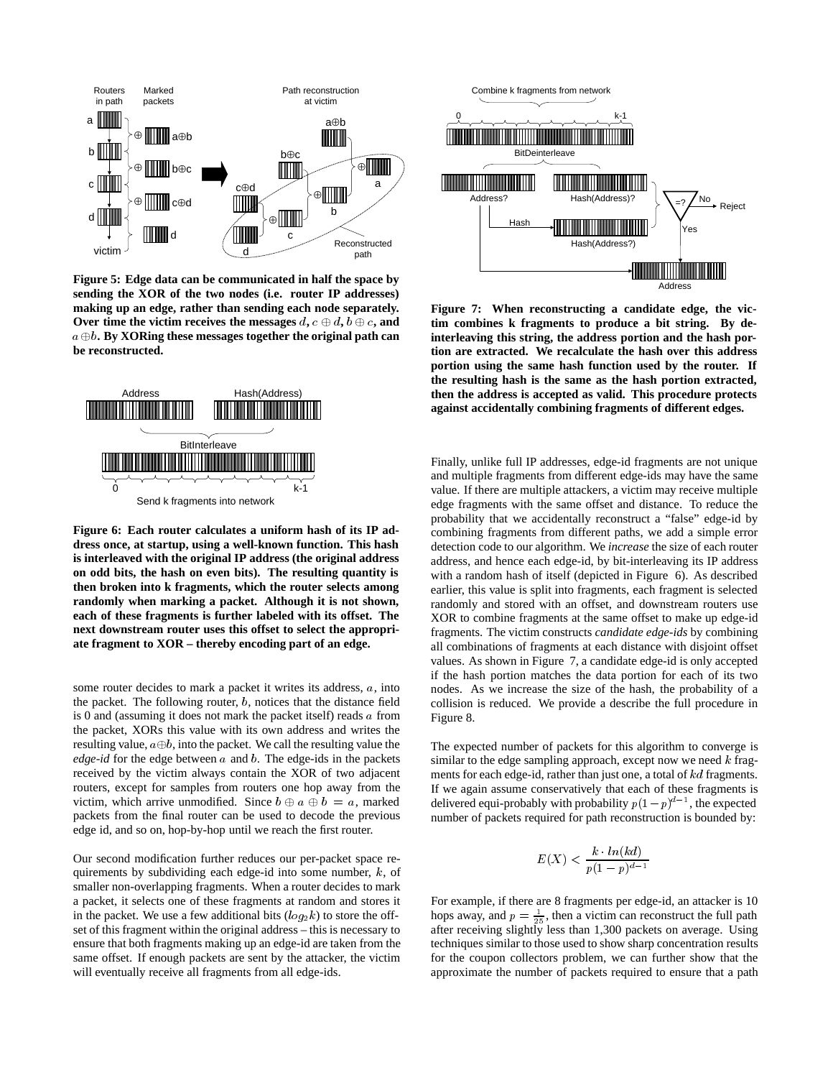

**Figure 5: Edge data can be communicated in half the space by sending the XOR of the two nodes (i.e. router IP addresses) making up an edge, rather than sending each node separately.** Over time the victim receives the messages  $d$ ,  $c \oplus d$ ,  $b \oplus c$ , and  $a \oplus b$ . By XORing these messages together the original path can **be reconstructed.**



**Figure 6: Each router calculates a uniform hash of its IP address once, at startup, using a well-known function. This hash is interleaved with the original IP address (the original address on odd bits, the hash on even bits). The resulting quantity is then broken into k fragments, which the router selects among randomly when marking a packet. Although it is not shown, each of these fragments is further labeled with its offset. The next downstream router uses this offset to select the appropriate fragment to XOR – thereby encoding part of an edge.**

some router decides to mark a packet it writes its address, a, into the packet. The following router,  $b$ , notices that the distance field is 0 and (assuming it does not mark the packet itself) reads a from the packet, XORs this value with its own address and writes the resulting value,  $a \oplus b$ , into the packet. We call the resulting value the *edge-id* for the edge between a and b. The edge-ids in the packets received by the victim always contain the XOR of two adjacent routers, except for samples from routers one hop away from the victim, which arrive unmodified. Since  $b \oplus a \oplus b = a$ , marked packets from the final router can be used to decode the previous edge id, and so on, hop-by-hop until we reach the first router.

Our second modification further reduces our per-packet space requirements by subdividing each edge-id into some number,  $k$ , of smaller non-overlapping fragments. When a router decides to mark a packet, it selects one of these fragments at random and stores it in the packet. We use a few additional bits  $(log_2 k)$  to store the offset of this fragment within the original address – this is necessary to ensure that both fragments making up an edge-id are taken from the same offset. If enough packets are sent by the attacker, the victim will eventually receive all fragments from all edge-ids.



**Figure 7: When reconstructing a candidate edge, the victim combines k fragments to produce a bit string. By deinterleaving this string, the address portion and the hash portion are extracted. We recalculate the hash over this address portion using the same hash function used by the router. If the resulting hash is the same as the hash portion extracted, then the address is accepted as valid. This procedure protects against accidentally combining fragments of different edges.**

Finally, unlike full IP addresses, edge-id fragments are not unique and multiple fragments from different edge-ids may have the same value. If there are multiple attackers, a victim may receive multiple edge fragments with the same offset and distance. To reduce the probability that we accidentally reconstruct a "false" edge-id by combining fragments from different paths, we add a simple error detection code to our algorithm. We *increase* the size of each router address, and hence each edge-id, by bit-interleaving its IP address with a random hash of itself (depicted in Figure 6). As described earlier, this value is split into fragments, each fragment is selected randomly and stored with an offset, and downstream routers use XOR to combine fragments at the same offset to make up edge-id fragments. The victim constructs *candidate edge-ids* by combining all combinations of fragments at each distance with disjoint offset values. As shown in Figure 7, a candidate edge-id is only accepted if the hash portion matches the data portion for each of its two nodes. As we increase the size of the hash, the probability of a collision is reduced. We provide a describe the full procedure in Figure 8.

The expected number of packets for this algorithm to converge is similar to the edge sampling approach, except now we need  $k$  fragments for each edge-id, rather than just one, a total of kd fragments. If we again assume conservatively that each of these fragments is delivered equi-probably with probability  $p(1-p)^{d-1}$ , the expected number of packets required for path reconstruction is bounded by:

$$
E(X) < \frac{k \cdot \ln(kd)}{p(1-p)^{d-1}}
$$

For example, if there are 8 fragments per edge-id, an attacker is 10 hops away, and  $p = \frac{1}{25}$ , then a victim can reconstruct the full path after receiving slightly less than 1,300 packets on average. Using techniques similar to those used to show sharp concentration results for the coupon collectors problem, we can further show that the approximate the number of packets required to ensure that a path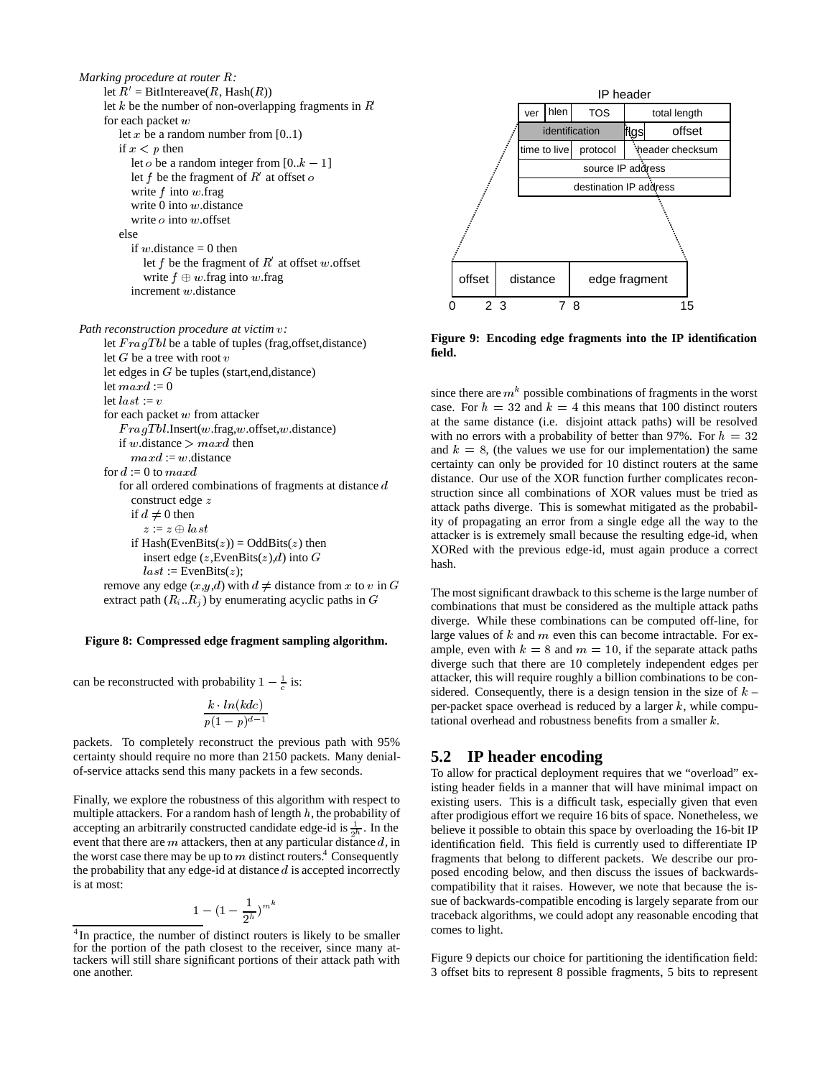```
Marking procedure at router R:
     let R' = \text{BitIntereave}(R, \text{Hash}(R))let k be the number of non-overlapping fragments in R'for each packet wlet x be a random number from [0..1)if x < p then
          let o be a random integer from [0..k - 1]let f be the fragment of R' at offset owrite f into w. frag
          write 0 into w.distance
          write o into w.offset
        else
          if w.distance = 0 then
             let f be the fragment of R' at offset w.offset
             write f \oplus w.frag into w.frag
          increment w.distance
Path reconstruction procedure at victim v:
    let FragTbl be a table of tuples (frag,offset,distance)
    let G be a tree with root v
```
let edges in G be tuples (start,end,distance) let  $maxd := 0$ let  $last := v$ for each packet w from attacker F ragT bl.Insert(w.frag,w.offset,w.distance) if w.distance  $>$  max $d$  then  $maxd := w$ .distance for  $d := 0$  to  $maxd$ for all ordered combinations of fragments at distance d construct edge z if  $d \neq 0$  then  $z := z \oplus last$ if Hash(EvenBits( $z$ )) = OddBits( $z$ ) then insert edge  $(z,EvenBits(z),d)$  into G  $last := EvenBits(z)$ : remove any edge  $(x,y,d)$  with  $d \neq$  distance from x to v in G extract path  $(R_i..R_j)$  by enumerating acyclic paths in G

#### **Figure 8: Compressed edge fragment sampling algorithm.**

can be reconstructed with probability  $1 - \frac{1}{6}$  is:

$$
\frac{k \cdot ln(kdc)}{p(1-p)^{d-1}}
$$

packets. To completely reconstruct the previous path with 95% certainty should require no more than 2150 packets. Many denialof-service attacks send this many packets in a few seconds.

Finally, we explore the robustness of this algorithm with respect to multiple attackers. For a random hash of length  $h$ , the probability of accepting an arbitrarily constructed candidate edge-id is  $\frac{1}{2^h}$ . In the event that there are  $m$  attackers, then at any particular distance  $d$ , in the worst case there may be up to  $m$  distinct routers.<sup>4</sup> Consequently the probability that any edge-id at distance  $d$  is accepted incorrectly is at most:

$$
1-(1-\frac{1}{2^h})^{m^k}
$$



**Figure 9: Encoding edge fragments into the IP identification field.**

since there are  $m^k$  possible combinations of fragments in the worst case. For  $h = 32$  and  $k = 4$  this means that 100 distinct routers at the same distance (i.e. disjoint attack paths) will be resolved with no errors with a probability of better than 97%. For  $h = 32$ and  $k = 8$ , (the values we use for our implementation) the same certainty can only be provided for 10 distinct routers at the same distance. Our use of the XOR function further complicates reconstruction since all combinations of XOR values must be tried as attack paths diverge. This is somewhat mitigated as the probability of propagating an error from a single edge all the way to the attacker is is extremely small because the resulting edge-id, when XORed with the previous edge-id, must again produce a correct hash.

The most significant drawback to this scheme is the large number of combinations that must be considered as the multiple attack paths diverge. While these combinations can be computed off-line, for large values of  $k$  and  $m$  even this can become intractable. For example, even with  $k = 8$  and  $m = 10$ , if the separate attack paths diverge such that there are 10 completely independent edges per attacker, this will require roughly a billion combinations to be considered. Consequently, there is a design tension in the size of  $k$ per-packet space overhead is reduced by a larger  $k$ , while computational overhead and robustness benefits from a smaller k.

#### **5.2 IP header encoding**

To allow for practical deployment requires that we "overload" existing header fields in a manner that will have minimal impact on existing users. This is a difficult task, especially given that even after prodigious effort we require 16 bits of space. Nonetheless, we believe it possible to obtain this space by overloading the 16-bit IP identification field. This field is currently used to differentiate IP fragments that belong to different packets. We describe our proposed encoding below, and then discuss the issues of backwardscompatibility that it raises. However, we note that because the issue of backwards-compatible encoding is largely separate from our traceback algorithms, we could adopt any reasonable encoding that comes to light.

Figure 9 depicts our choice for partitioning the identification field: 3 offset bits to represent 8 possible fragments, 5 bits to represent

<sup>&</sup>lt;sup>4</sup>In practice, the number of distinct routers is likely to be smaller for the portion of the path closest to the receiver, since many attackers will still share significant portions of their attack path with one another.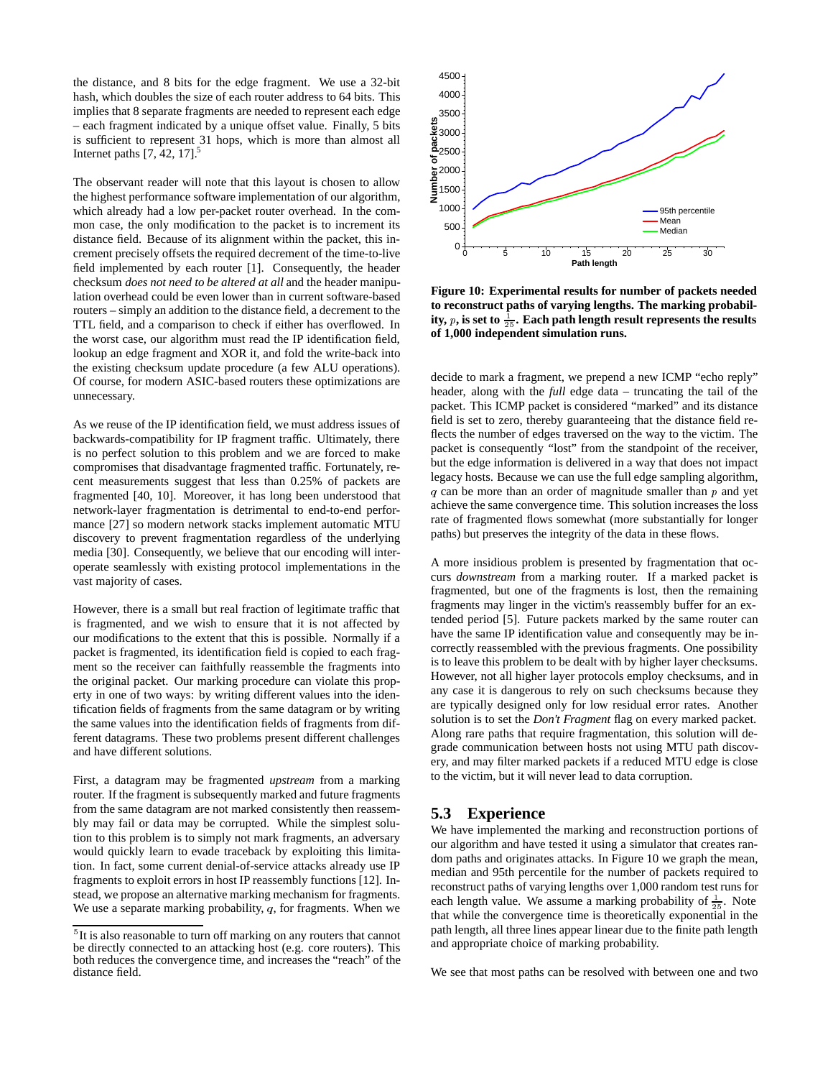the distance, and 8 bits for the edge fragment. We use a 32-bit hash, which doubles the size of each router address to 64 bits. This implies that 8 separate fragments are needed to represent each edge – each fragment indicated by a unique offset value. Finally, 5 bits is sufficient to represent 31 hops, which is more than almost all Internet paths  $[7, 42, 17]$ .<sup>5</sup>

The observant reader will note that this layout is chosen to allow the highest performance software implementation of our algorithm, which already had a low per-packet router overhead. In the common case, the only modification to the packet is to increment its distance field. Because of its alignment within the packet, this increment precisely offsets the required decrement of the time-to-live field implemented by each router [1]. Consequently, the header checksum *does not need to be altered at all* and the header manipulation overhead could be even lower than in current software-based routers – simply an addition to the distance field, a decrement to the TTL field, and a comparison to check if either has overflowed. In the worst case, our algorithm must read the IP identification field, lookup an edge fragment and XOR it, and fold the write-back into the existing checksum update procedure (a few ALU operations). Of course, for modern ASIC-based routers these optimizations are unnecessary.

As we reuse of the IP identification field, we must address issues of backwards-compatibility for IP fragment traffic. Ultimately, there is no perfect solution to this problem and we are forced to make compromises that disadvantage fragmented traffic. Fortunately, recent measurements suggest that less than 0.25% of packets are fragmented [40, 10]. Moreover, it has long been understood that network-layer fragmentation is detrimental to end-to-end performance [27] so modern network stacks implement automatic MTU discovery to prevent fragmentation regardless of the underlying media [30]. Consequently, we believe that our encoding will interoperate seamlessly with existing protocol implementations in the vast majority of cases.

However, there is a small but real fraction of legitimate traffic that is fragmented, and we wish to ensure that it is not affected by our modifications to the extent that this is possible. Normally if a packet is fragmented, its identification field is copied to each fragment so the receiver can faithfully reassemble the fragments into the original packet. Our marking procedure can violate this property in one of two ways: by writing different values into the identification fields of fragments from the same datagram or by writing the same values into the identification fields of fragments from different datagrams. These two problems present different challenges and have different solutions.

First, a datagram may be fragmented *upstream* from a marking router. If the fragment is subsequently marked and future fragments from the same datagram are not marked consistently then reassembly may fail or data may be corrupted. While the simplest solution to this problem is to simply not mark fragments, an adversary would quickly learn to evade traceback by exploiting this limitation. In fact, some current denial-of-service attacks already use IP fragments to exploit errors in host IP reassembly functions [12]. Instead, we propose an alternative marking mechanism for fragments. We use a separate marking probability,  $q$ , for fragments. When we



**Figure 10: Experimental results for number of packets needed to reconstruct paths of varying lengths. The marking probabil**ity,  $p$ , is set to  $\frac{1}{25}$ . Each path length result represents the results **of 1,000 independent simulation runs.**

decide to mark a fragment, we prepend a new ICMP "echo reply" header, along with the *full* edge data – truncating the tail of the packet. This ICMP packet is considered "marked" and its distance field is set to zero, thereby guaranteeing that the distance field reflects the number of edges traversed on the way to the victim. The packet is consequently "lost" from the standpoint of the receiver, but the edge information is delivered in a way that does not impact legacy hosts. Because we can use the full edge sampling algorithm,  $q$  can be more than an order of magnitude smaller than  $p$  and yet achieve the same convergence time. This solution increases the loss rate of fragmented flows somewhat (more substantially for longer paths) but preserves the integrity of the data in these flows.

A more insidious problem is presented by fragmentation that occurs *downstream* from a marking router. If a marked packet is fragmented, but one of the fragments is lost, then the remaining fragments may linger in the victim's reassembly buffer for an extended period [5]. Future packets marked by the same router can have the same IP identification value and consequently may be incorrectly reassembled with the previous fragments. One possibility is to leave this problem to be dealt with by higher layer checksums. However, not all higher layer protocols employ checksums, and in any case it is dangerous to rely on such checksums because they are typically designed only for low residual error rates. Another solution is to set the *Don't Fragment* flag on every marked packet. Along rare paths that require fragmentation, this solution will degrade communication between hosts not using MTU path discovery, and may filter marked packets if a reduced MTU edge is close to the victim, but it will never lead to data corruption.

### **5.3 Experience**

We have implemented the marking and reconstruction portions of our algorithm and have tested it using a simulator that creates random paths and originates attacks. In Figure 10 we graph the mean, median and 95th percentile for the number of packets required to reconstruct paths of varying lengths over 1,000 random test runs for each length value. We assume a marking probability of  $\frac{1}{25}$ . Note that while the convergence time is theoretically exponential in the path length, all three lines appear linear due to the finite path length and appropriate choice of marking probability.

We see that most paths can be resolved with between one and two

<sup>&</sup>lt;sup>5</sup>It is also reasonable to turn off marking on any routers that cannot be directly connected to an attacking host (e.g. core routers). This both reduces the convergence time, and increases the "reach" of the distance field.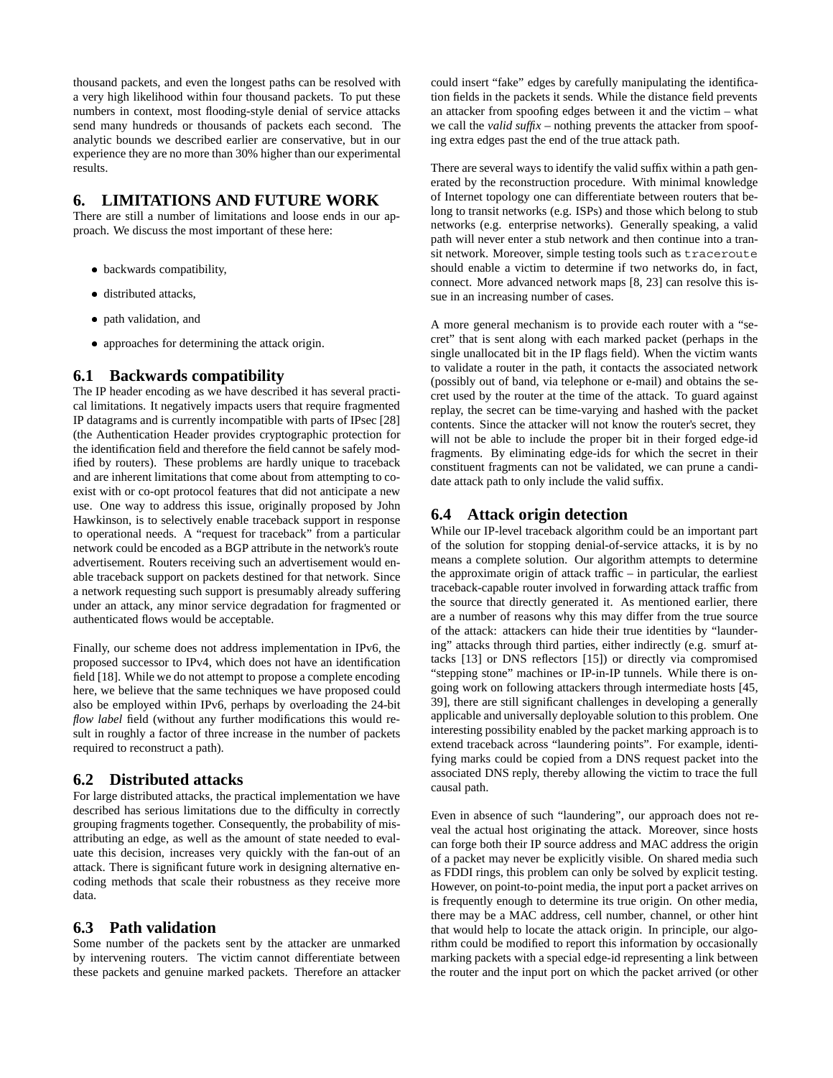thousand packets, and even the longest paths can be resolved with a very high likelihood within four thousand packets. To put these numbers in context, most flooding-style denial of service attacks send many hundreds or thousands of packets each second. The analytic bounds we described earlier are conservative, but in our experience they are no more than 30% higher than our experimental results.

# **6. LIMITATIONS AND FUTURE WORK**

There are still a number of limitations and loose ends in our approach. We discuss the most important of these here:

- backwards compatibility,
- distributed attacks,
- path validation, and
- approaches for determining the attack origin.

### **6.1 Backwards compatibility**

The IP header encoding as we have described it has several practical limitations. It negatively impacts users that require fragmented IP datagrams and is currently incompatible with parts of IPsec [28] (the Authentication Header provides cryptographic protection for the identification field and therefore the field cannot be safely modified by routers). These problems are hardly unique to traceback and are inherent limitations that come about from attempting to coexist with or co-opt protocol features that did not anticipate a new use. One way to address this issue, originally proposed by John Hawkinson, is to selectively enable traceback support in response to operational needs. A "request for traceback" from a particular network could be encoded as a BGP attribute in the network's route advertisement. Routers receiving such an advertisement would enable traceback support on packets destined for that network. Since a network requesting such support is presumably already suffering under an attack, any minor service degradation for fragmented or authenticated flows would be acceptable.

Finally, our scheme does not address implementation in IPv6, the proposed successor to IPv4, which does not have an identification field [18]. While we do not attempt to propose a complete encoding here, we believe that the same techniques we have proposed could also be employed within IPv6, perhaps by overloading the 24-bit *flow label* field (without any further modifications this would result in roughly a factor of three increase in the number of packets required to reconstruct a path).

### **6.2 Distributed attacks**

For large distributed attacks, the practical implementation we have described has serious limitations due to the difficulty in correctly grouping fragments together. Consequently, the probability of misattributing an edge, as well as the amount of state needed to evaluate this decision, increases very quickly with the fan-out of an attack. There is significant future work in designing alternative encoding methods that scale their robustness as they receive more data.

### **6.3 Path validation**

Some number of the packets sent by the attacker are unmarked by intervening routers. The victim cannot differentiate between these packets and genuine marked packets. Therefore an attacker could insert "fake" edges by carefully manipulating the identification fields in the packets it sends. While the distance field prevents an attacker from spoofing edges between it and the victim – what we call the *valid suffix* – nothing prevents the attacker from spoofing extra edges past the end of the true attack path.

There are several ways to identify the valid suffix within a path generated by the reconstruction procedure. With minimal knowledge of Internet topology one can differentiate between routers that belong to transit networks (e.g. ISPs) and those which belong to stub networks (e.g. enterprise networks). Generally speaking, a valid path will never enter a stub network and then continue into a transit network. Moreover, simple testing tools such as traceroute should enable a victim to determine if two networks do, in fact, connect. More advanced network maps [8, 23] can resolve this issue in an increasing number of cases.

A more general mechanism is to provide each router with a "secret" that is sent along with each marked packet (perhaps in the single unallocated bit in the IP flags field). When the victim wants to validate a router in the path, it contacts the associated network (possibly out of band, via telephone or e-mail) and obtains the secret used by the router at the time of the attack. To guard against replay, the secret can be time-varying and hashed with the packet contents. Since the attacker will not know the router's secret, they will not be able to include the proper bit in their forged edge-id fragments. By eliminating edge-ids for which the secret in their constituent fragments can not be validated, we can prune a candidate attack path to only include the valid suffix.

### **6.4 Attack origin detection**

While our IP-level traceback algorithm could be an important part of the solution for stopping denial-of-service attacks, it is by no means a complete solution. Our algorithm attempts to determine the approximate origin of attack traffic – in particular, the earliest traceback-capable router involved in forwarding attack traffic from the source that directly generated it. As mentioned earlier, there are a number of reasons why this may differ from the true source of the attack: attackers can hide their true identities by "laundering" attacks through third parties, either indirectly (e.g. smurf attacks [13] or DNS reflectors [15]) or directly via compromised "stepping stone" machines or IP-in-IP tunnels. While there is ongoing work on following attackers through intermediate hosts [45, 39], there are still significant challenges in developing a generally applicable and universally deployable solution to this problem. One interesting possibility enabled by the packet marking approach is to extend traceback across "laundering points". For example, identifying marks could be copied from a DNS request packet into the associated DNS reply, thereby allowing the victim to trace the full causal path.

Even in absence of such "laundering", our approach does not reveal the actual host originating the attack. Moreover, since hosts can forge both their IP source address and MAC address the origin of a packet may never be explicitly visible. On shared media such as FDDI rings, this problem can only be solved by explicit testing. However, on point-to-point media, the input port a packet arrives on is frequently enough to determine its true origin. On other media, there may be a MAC address, cell number, channel, or other hint that would help to locate the attack origin. In principle, our algorithm could be modified to report this information by occasionally marking packets with a special edge-id representing a link between the router and the input port on which the packet arrived (or other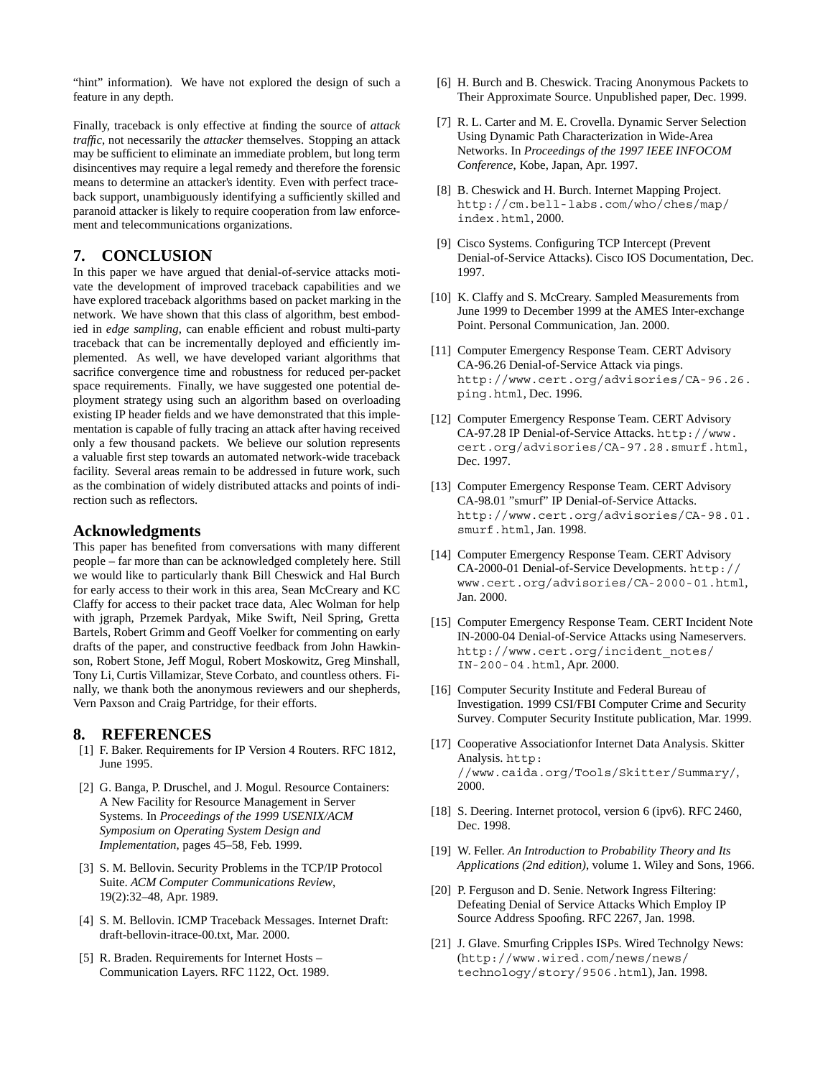"hint" information). We have not explored the design of such a feature in any depth.

Finally, traceback is only effective at finding the source of *attack traffic*, not necessarily the *attacker* themselves. Stopping an attack may be sufficient to eliminate an immediate problem, but long term disincentives may require a legal remedy and therefore the forensic means to determine an attacker's identity. Even with perfect traceback support, unambiguously identifying a sufficiently skilled and paranoid attacker is likely to require cooperation from law enforcement and telecommunications organizations.

### **7. CONCLUSION**

In this paper we have argued that denial-of-service attacks motivate the development of improved traceback capabilities and we have explored traceback algorithms based on packet marking in the network. We have shown that this class of algorithm, best embodied in *edge sampling*, can enable efficient and robust multi-party traceback that can be incrementally deployed and efficiently implemented. As well, we have developed variant algorithms that sacrifice convergence time and robustness for reduced per-packet space requirements. Finally, we have suggested one potential deployment strategy using such an algorithm based on overloading existing IP header fields and we have demonstrated that this implementation is capable of fully tracing an attack after having received only a few thousand packets. We believe our solution represents a valuable first step towards an automated network-wide traceback facility. Several areas remain to be addressed in future work, such as the combination of widely distributed attacks and points of indirection such as reflectors.

### **Acknowledgments**

This paper has benefited from conversations with many different people – far more than can be acknowledged completely here. Still we would like to particularly thank Bill Cheswick and Hal Burch for early access to their work in this area, Sean McCreary and KC Claffy for access to their packet trace data, Alec Wolman for help with jgraph, Przemek Pardyak, Mike Swift, Neil Spring, Gretta Bartels, Robert Grimm and Geoff Voelker for commenting on early drafts of the paper, and constructive feedback from John Hawkinson, Robert Stone, Jeff Mogul, Robert Moskowitz, Greg Minshall, Tony Li, Curtis Villamizar, Steve Corbato, and countless others. Finally, we thank both the anonymous reviewers and our shepherds, Vern Paxson and Craig Partridge, for their efforts.

### **8. REFERENCES**

- [1] F. Baker. Requirements for IP Version 4 Routers. RFC 1812, June 1995.
- [2] G. Banga, P. Druschel, and J. Mogul. Resource Containers: A New Facility for Resource Management in Server Systems. In *Proceedings of the 1999 USENIX/ACM Symposium on Operating System Design and Implementation*, pages 45–58, Feb. 1999.
- [3] S. M. Bellovin. Security Problems in the TCP/IP Protocol Suite. *ACM Computer Communications Review*, 19(2):32–48, Apr. 1989.
- [4] S. M. Bellovin. ICMP Traceback Messages. Internet Draft: draft-bellovin-itrace-00.txt, Mar. 2000.
- [5] R. Braden. Requirements for Internet Hosts Communication Layers. RFC 1122, Oct. 1989.
- [6] H. Burch and B. Cheswick. Tracing Anonymous Packets to Their Approximate Source. Unpublished paper, Dec. 1999.
- [7] R. L. Carter and M. E. Crovella. Dynamic Server Selection Using Dynamic Path Characterization in Wide-Area Networks. In *Proceedings of the 1997 IEEE INFOCOM Conference*, Kobe, Japan, Apr. 1997.
- [8] B. Cheswick and H. Burch. Internet Mapping Project. http://cm.bell-labs.com/who/ches/map/ index.html, 2000.
- [9] Cisco Systems. Configuring TCP Intercept (Prevent Denial-of-Service Attacks). Cisco IOS Documentation, Dec. 1997.
- [10] K. Claffy and S. McCreary. Sampled Measurements from June 1999 to December 1999 at the AMES Inter-exchange Point. Personal Communication, Jan. 2000.
- [11] Computer Emergency Response Team. CERT Advisory CA-96.26 Denial-of-Service Attack via pings. http://www.cert.org/advisories/CA-96.26. ping.html, Dec. 1996.
- [12] Computer Emergency Response Team. CERT Advisory CA-97.28 IP Denial-of-Service Attacks. http://www. cert.org/advisories/CA-97.28.smurf.html, Dec. 1997.
- [13] Computer Emergency Response Team. CERT Advisory CA-98.01 "smurf" IP Denial-of-Service Attacks. http://www.cert.org/advisories/CA-98.01. smurf.html, Jan. 1998.
- [14] Computer Emergency Response Team. CERT Advisory CA-2000-01 Denial-of-Service Developments. http:// www.cert.org/advisories/CA-2000-01.html, Jan. 2000.
- [15] Computer Emergency Response Team. CERT Incident Note IN-2000-04 Denial-of-Service Attacks using Nameservers. http://www.cert.org/incident\_notes/ IN-200-04.html, Apr. 2000.
- [16] Computer Security Institute and Federal Bureau of Investigation. 1999 CSI/FBI Computer Crime and Security Survey. Computer Security Institute publication, Mar. 1999.
- [17] Cooperative Associationfor Internet Data Analysis. Skitter Analysis. http: //www.caida.org/Tools/Skitter/Summary/, 2000.
- [18] S. Deering. Internet protocol, version 6 (ipv6). RFC 2460, Dec. 1998.
- [19] W. Feller. *An Introduction to Probability Theory and Its Applications (2nd edition)*, volume 1. Wiley and Sons, 1966.
- [20] P. Ferguson and D. Senie. Network Ingress Filtering: Defeating Denial of Service Attacks Which Employ IP Source Address Spoofing. RFC 2267, Jan. 1998.
- [21] J. Glave. Smurfing Cripples ISPs. Wired Technolgy News: (http://www.wired.com/news/news/ technology/story/9506.html), Jan. 1998.